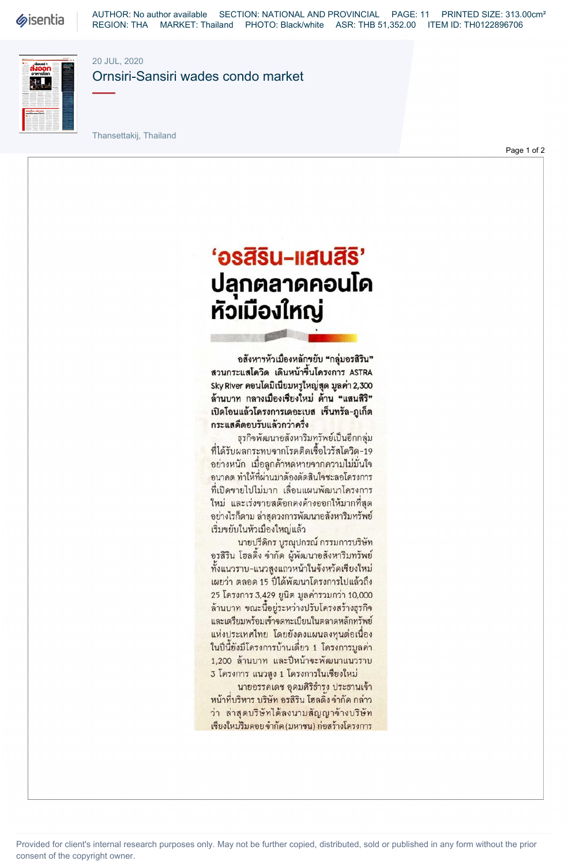**Sisentia** 

AUTHOR: No author available SECTION: NATIONAL AND PROVINCIAL PAGE: 11 PRINTED SIZE: 313.00cm² REGION: THA MARKET: Thailand PHOTO: Black/white ASR: THB 51,352.00 ITEM ID: TH0122896706



20 JUL, 2020

Ornsiri-Sansiri wades condo market

Thansettakij, Thailand

Page 1 of 2

## $9$ s $\overline{a}$ su-lau $\overline{a}$ s $^{\prime}$ ปลุกตลาดคอนโด หัวเมืองใหญ่

mille and the ppendix of the local division in the local division in the local division in the local division in the local division in the local division in the local division in the local division in the local division in the local div

อสังหาฯหัวเมืองหลักขยับ "กลุ่มอรสิริน" สวนกระแสโควิด เดินหน้าขึ้นโครงการ ASTRA Sky River 2,300 ล้านบาท กลางเมืองเชียงใหม่ ด้าน "แสนสิริ" เปิดโอนแล้วโครงการเดอะเบส เซ็นทรัล-ภูเก็ต กระแสดีตอบรับแล้วกว่าครึ่ง

ธุรกิจพัฒนาอสังหาริมทรัพย์เป็นอีกกลุ่ม ที่ได้รับผลกระทบจากโรคติดเชื้อไวรัสโควิด-19 อย่างหนัก เมื่อลูกด้าหดหายจากความไม่มั่นใจ ้อนาคต ทำให้ที่ผ่านมาต้องตัดสินใจชะลอโครงการ ที่เปิดขายไปไม่มาก เลื่อนแผนพัฒนาโครงการ ใหม่ และเร่งขายสต๊อกดงด้างออกให้มากที่สุด อย่างไรก็ตาม ล่าสุดวงการพัฒนาอสังหาริมทรัพย์ เริ่มขยับในหัวเมืองใหญ่แล้ว

นายปรีดิกร บูรณูปกรณ์ กรรมการบริษัท อรสิริน โฮลดิ้ง จำกัด ผู้พัฒนาอสังหาริมทรัพย์ ทั้งแนวราบ-แนวสูงแถวหน้าในจังหวัดเชียงใหม่ เผยว่า ตลอด 15 ปีได้พัฒนาโครงการไปแล้วถึง 25 โครงการ 3,429 ยูนิต มูลค่ารวมกว่า 10,000 ล้านบาท ขณะนี้อยู่ระหว่างปรับโครงสร้างธุรกิจ และเตรียมพร้อมเข้าจดทะเบียนในตลาดหลักทรัพย์ แห่งประเทศไทย โดยยังคงแผนลงทุนต่อเนื่อง ในปีนี้ยังมีโครงการบ้านเดียว 1 โครงการมูลค่า 1,200 ล้านบาท และปีหน้าจะพัฒนาแนวราบ 3 โครงการ แนวสูง 1 โครงการในเชียงใหม่

นายอรรคเดช อุดมศิริธำรง ประธานเจ้า หน้าที่บริหาร บริษัท อรสิริน โฮลดิง จำกัด กล่าว ว่า ล่าสุดบริษัทได้ลงนามสัญญาจ้างบริษัท เชียงใหม่ริมดอย จำกัด (มหาชน) ก่อสร้างโครงการ

Provided for client's internal research purposes only. May not be further copied, distributed, sold or published in any form without the prior consent of the copyright owner.